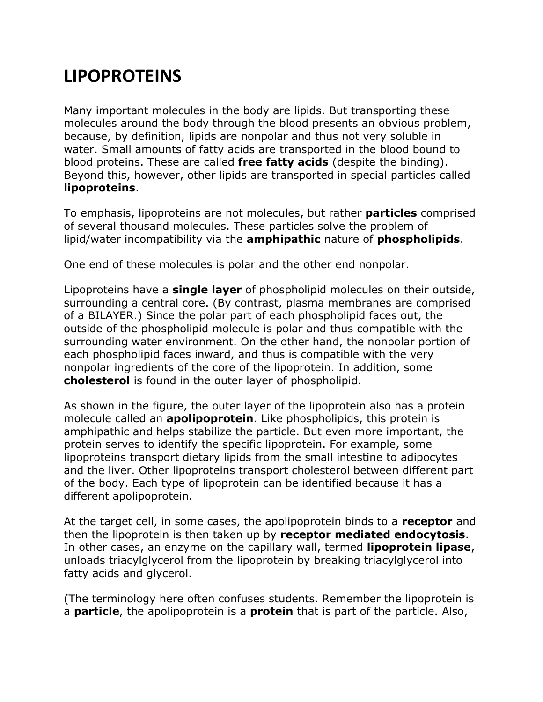## **LIPOPROTEINS**

Many important molecules in the body are lipids. But transporting these molecules around the body through the blood presents an obvious problem, because, by definition, lipids are nonpolar and thus not very soluble in water. Small amounts of fatty acids are transported in the blood bound to blood proteins. These are called **free fatty acids** (despite the binding). Beyond this, however, other lipids are transported in special particles called **lipoproteins**.

To emphasis, lipoproteins are not molecules, but rather **particles** comprised of several thousand molecules. These particles solve the problem of lipid/water incompatibility via the **amphipathic** nature of **phospholipids**.

One end of these molecules is polar and the other end nonpolar.

Lipoproteins have a **single layer** of phospholipid molecules on their outside, surrounding a central core. (By contrast, plasma membranes are comprised of a BILAYER.) Since the polar part of each phospholipid faces out, the outside of the phospholipid molecule is polar and thus compatible with the surrounding water environment. On the other hand, the nonpolar portion of each phospholipid faces inward, and thus is compatible with the very nonpolar ingredients of the core of the lipoprotein. In addition, some **cholesterol** is found in the outer layer of phospholipid.

As shown in the figure, the outer layer of the lipoprotein also has a protein molecule called an **apolipoprotein**. Like phospholipids, this protein is amphipathic and helps stabilize the particle. But even more important, the protein serves to identify the specific lipoprotein. For example, some lipoproteins transport dietary lipids from the small intestine to adipocytes and the liver. Other lipoproteins transport cholesterol between different part of the body. Each type of lipoprotein can be identified because it has a different apolipoprotein.

At the target cell, in some cases, the apolipoprotein binds to a **receptor** and then the lipoprotein is then taken up by **receptor mediated endocytosis**. In other cases, an enzyme on the capillary wall, termed **lipoprotein lipase**, unloads triacylglycerol from the lipoprotein by breaking triacylglycerol into fatty acids and glycerol.

(The terminology here often confuses students. Remember the lipoprotein is a **particle**, the apolipoprotein is a **protein** that is part of the particle. Also,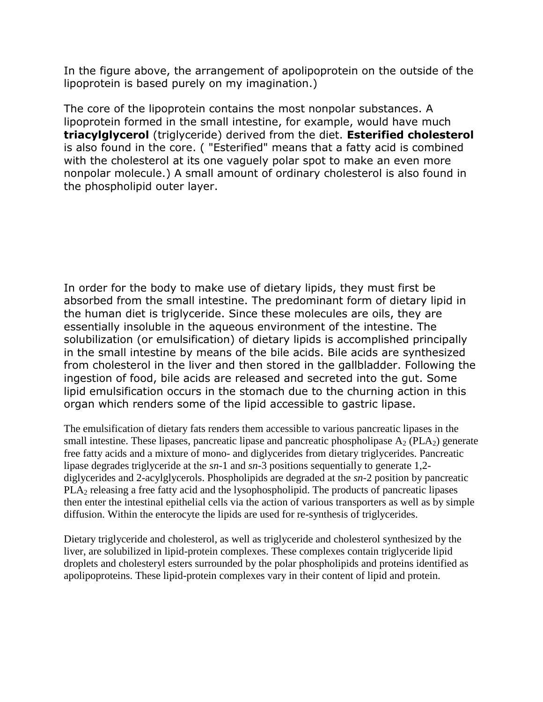In the figure above, the arrangement of apolipoprotein on the outside of the lipoprotein is based purely on my imagination.)

The core of the lipoprotein contains the most nonpolar substances. A lipoprotein formed in the small intestine, for example, would have much **triacylglycerol** (triglyceride) derived from the diet. **Esterified cholesterol** is also found in the core. ( "Esterified" means that a fatty acid is combined with the cholesterol at its one vaguely polar spot to make an even more nonpolar molecule.) A small amount of ordinary cholesterol is also found in the phospholipid outer layer.

In order for the body to make use of dietary lipids, they must first be absorbed from the small intestine. The predominant form of dietary lipid in the human diet is triglyceride. Since these molecules are oils, they are essentially insoluble in the aqueous environment of the intestine. The solubilization (or emulsification) of dietary lipids is accomplished principally in the small intestine by means of the bile acids. Bile acids are synthesized from cholesterol in the liver and then stored in the gallbladder. Following the ingestion of food, bile acids are released and secreted into the gut. Some lipid emulsification occurs in the stomach due to the churning action in this organ which renders some of the lipid accessible to gastric lipase.

The emulsification of dietary fats renders them accessible to various pancreatic lipases in the small intestine. These lipases, pancreatic lipase and pancreatic phospholipase  $A_2$  (PLA<sub>2</sub>) generate free fatty acids and a mixture of mono- and diglycerides from dietary triglycerides. Pancreatic lipase degrades triglyceride at the *sn*-1 and *sn*-3 positions sequentially to generate 1,2 diglycerides and 2-acylglycerols. Phospholipids are degraded at the *sn*-2 position by pancreatic PLA<sub>2</sub> releasing a free fatty acid and the lysophospholipid. The products of pancreatic lipases then enter the intestinal epithelial cells via the action of various transporters as well as by simple diffusion. Within the enterocyte the lipids are used for re-synthesis of triglycerides.

Dietary triglyceride and cholesterol, as well as triglyceride and cholesterol synthesized by the liver, are solubilized in lipid-protein complexes. These complexes contain triglyceride lipid droplets and cholesteryl esters surrounded by the polar phospholipids and proteins identified as apolipoproteins. These lipid-protein complexes vary in their content of lipid and protein.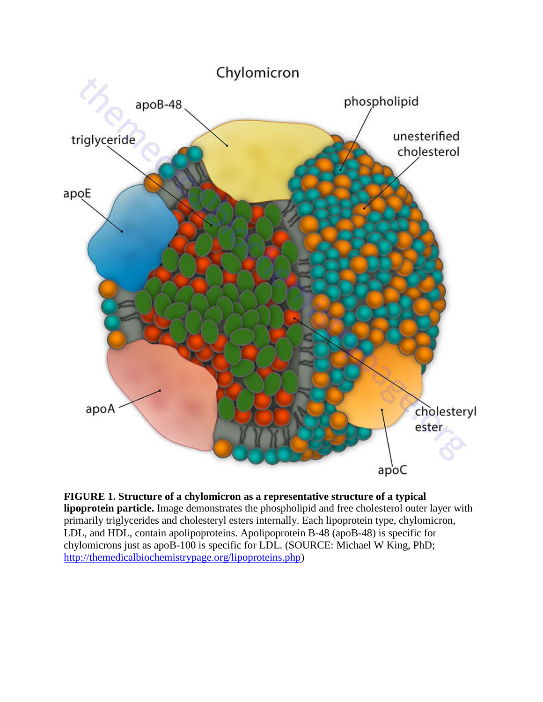

**FIGURE 1. Structure of a chylomicron as a representative structure of a typical lipoprotein particle.** Image demonstrates the phospholipid and free cholesterol outer layer with primarily triglycerides and cholesteryl esters internally. Each lipoprotein type, chylomicron, LDL, and HDL, contain apolipoproteins. Apolipoprotein B-48 (apoB-48) is specific for chylomicrons just as apoB-100 is specific for LDL. (SOURCE: Michael W King, PhD; [http://themedicalbiochemistrypage.org/lipoproteins.php\)](http://themedicalbiochemistrypage.org/lipoproteins.php)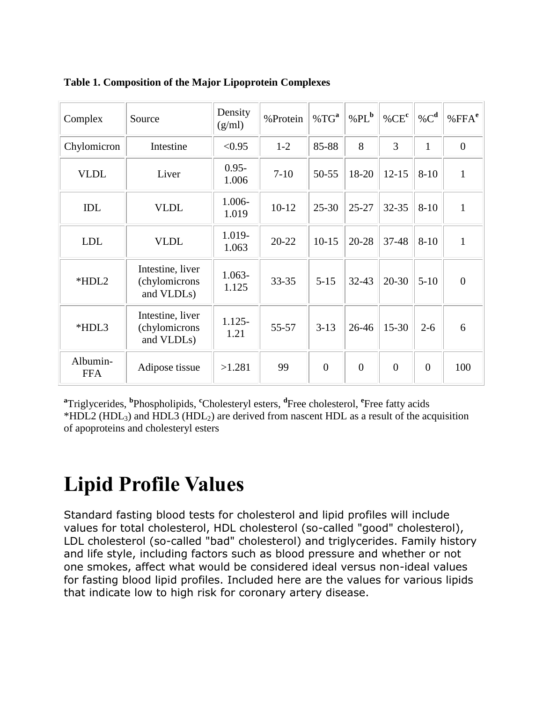| Complex                | Source                                          | Density<br>(g/ml) | %Protein  | %TG <sup>a</sup> | % $PLb$        | % $CEc$        | % $C^{\mathbf{d}}$ | % $FFAe$       |
|------------------------|-------------------------------------------------|-------------------|-----------|------------------|----------------|----------------|--------------------|----------------|
| Chylomicron            | Intestine                                       | < 0.95            | $1-2$     | 85-88            | 8              | 3              | $\mathbf{1}$       | $\overline{0}$ |
| <b>VLDL</b>            | Liver                                           | $0.95 -$<br>1.006 | $7 - 10$  | $50 - 55$        | 18-20          | $12 - 15$      | $8 - 10$           | 1              |
| <b>IDL</b>             | <b>VLDL</b>                                     | 1.006-<br>1.019   | $10-12$   | $25 - 30$        | $25 - 27$      | $32 - 35$      | $8 - 10$           | $\mathbf{1}$   |
| <b>LDL</b>             | <b>VLDL</b>                                     | 1.019-<br>1.063   | $20 - 22$ | $10-15$          | 20-28          | 37-48          | $8 - 10$           | $\mathbf{1}$   |
| *HDL2                  | Intestine, liver<br>(chylomicrons<br>and VLDLs) | 1.063-<br>1.125   | $33 - 35$ | $5 - 15$         | $32 - 43$      | $20 - 30$      | $5 - 10$           | $\overline{0}$ |
| *HDL3                  | Intestine, liver<br>(chylomicrons<br>and VLDLs) | $1.125 -$<br>1.21 | 55-57     | $3-13$           | 26-46          | $15 - 30$      | $2 - 6$            | 6              |
| Albumin-<br><b>FFA</b> | Adipose tissue                                  | >1.281            | 99        | $\overline{0}$   | $\overline{0}$ | $\overline{0}$ | $\overline{0}$     | 100            |

#### **Table 1. Composition of the Major Lipoprotein Complexes**

<sup>a</sup>Triglycerides, <sup>b</sup>Phospholipids, <sup>c</sup>Cholesteryl esters, <sup>d</sup>Free cholesterol, <sup>e</sup>Free fatty acids \*HDL2 (HDL<sub>3</sub>) and HDL3 (HDL<sub>2</sub>) are derived from nascent HDL as a result of the acquisition of apoproteins and cholesteryl esters

## **Lipid Profile Values**

Standard fasting blood tests for cholesterol and lipid profiles will include values for total cholesterol, HDL cholesterol (so-called "good" cholesterol), LDL cholesterol (so-called "bad" cholesterol) and triglycerides. Family history and life style, including factors such as blood pressure and whether or not one smokes, affect what would be considered ideal versus non-ideal values for fasting blood lipid profiles. Included here are the values for various lipids that indicate low to high risk for coronary artery disease.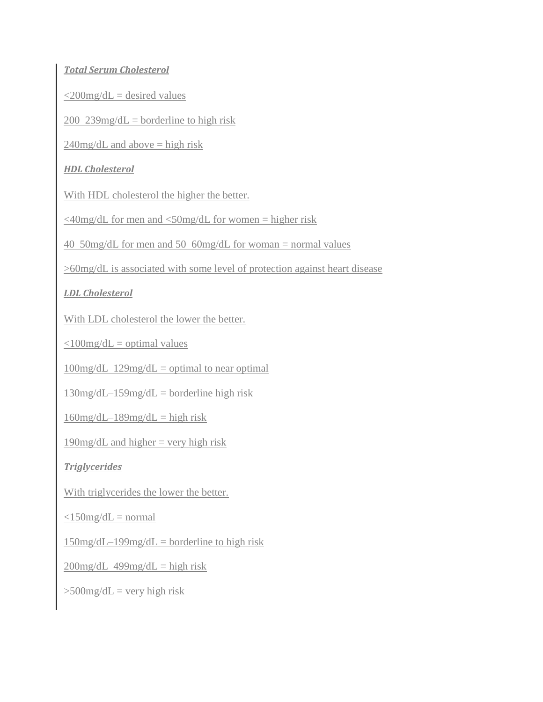#### *Total Serum Cholesterol*

 $\leq$ 200mg/dL = desired values

 $200-239$ mg/dL = borderline to high risk

 $240$ mg/dL and above = high risk

### *HDL Cholesterol*

With HDL cholesterol the higher the better.

 $\leq$ 40mg/dL for men and  $\leq$ 50mg/dL for women = higher risk

40–50mg/dL for men and 50–60mg/dL for woman = normal values

>60mg/dL is associated with some level of protection against heart disease

### *LDL Cholesterol*

With LDL cholesterol the lower the better.

 $\langle$ 100mg/dL = optimal values

 $100$ mg/dL– $129$ mg/dL = optimal to near optimal

 $130$ mg/dL $-159$ mg/dL $=$  borderline high risk

 $160$ mg/dL $-189$ mg/dL $=$  high risk

 $190$ mg/dL and higher = very high risk

### *Triglycerides*

With triglycerides the lower the better.

 $\langle$ 150mg/dL = normal

 $150$ mg/dL–199mg/dL = borderline to high risk

 $200$ mg/dL $-499$ mg/dL $=$  high risk

 $>500$ mg/dL = very high risk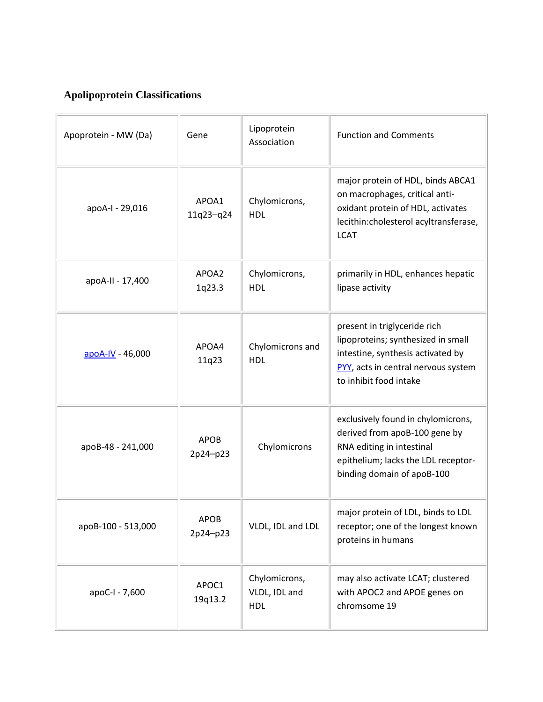### **Apolipoprotein Classifications**

| Apoprotein - MW (Da) | Gene                    | Lipoprotein<br>Association                   | <b>Function and Comments</b>                                                                                                                                             |
|----------------------|-------------------------|----------------------------------------------|--------------------------------------------------------------------------------------------------------------------------------------------------------------------------|
| apoA-I - 29,016      | APOA1<br>11q23-q24      | Chylomicrons,<br><b>HDL</b>                  | major protein of HDL, binds ABCA1<br>on macrophages, critical anti-<br>oxidant protein of HDL, activates<br>lecithin:cholesterol acyltransferase,<br><b>LCAT</b>         |
| apoA-II - 17,400     | APOA2<br>1q23.3         | Chylomicrons,<br><b>HDL</b>                  | primarily in HDL, enhances hepatic<br>lipase activity                                                                                                                    |
| apoA-IV - 46,000     | APOA4<br>11q23          | Chylomicrons and<br><b>HDL</b>               | present in triglyceride rich<br>lipoproteins; synthesized in small<br>intestine, synthesis activated by<br>PYY, acts in central nervous system<br>to inhibit food intake |
| apoB-48 - 241,000    | <b>APOB</b><br>2p24-p23 | Chylomicrons                                 | exclusively found in chylomicrons,<br>derived from apoB-100 gene by<br>RNA editing in intestinal<br>epithelium; lacks the LDL receptor-<br>binding domain of apoB-100    |
| apoB-100 - 513,000   | <b>APOB</b><br>2p24-p23 | VLDL, IDL and LDL                            | major protein of LDL, binds to LDL<br>receptor; one of the longest known<br>proteins in humans                                                                           |
| apoC-I - 7,600       | APOC1<br>19q13.2        | Chylomicrons,<br>VLDL, IDL and<br><b>HDL</b> | may also activate LCAT; clustered<br>with APOC2 and APOE genes on<br>chromsome 19                                                                                        |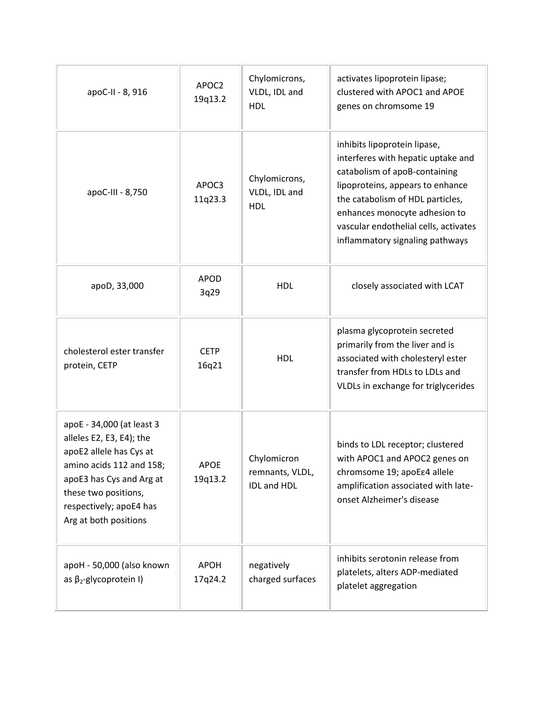| apoC-II - 8, 916                                                                                                                                                                                                     | APOC2<br>19q13.2       | Chylomicrons,<br>VLDL, IDL and<br><b>HDL</b>         | activates lipoprotein lipase;<br>clustered with APOC1 and APOE<br>genes on chromsome 19                                                                                                                                                                                                  |  |  |
|----------------------------------------------------------------------------------------------------------------------------------------------------------------------------------------------------------------------|------------------------|------------------------------------------------------|------------------------------------------------------------------------------------------------------------------------------------------------------------------------------------------------------------------------------------------------------------------------------------------|--|--|
| apoC-III - 8,750                                                                                                                                                                                                     | APOC3<br>11q23.3       | Chylomicrons,<br>VLDL, IDL and<br><b>HDL</b>         | inhibits lipoprotein lipase,<br>interferes with hepatic uptake and<br>catabolism of apoB-containing<br>lipoproteins, appears to enhance<br>the catabolism of HDL particles,<br>enhances monocyte adhesion to<br>vascular endothelial cells, activates<br>inflammatory signaling pathways |  |  |
| apoD, 33,000                                                                                                                                                                                                         | <b>APOD</b><br>3q29    | <b>HDL</b>                                           | closely associated with LCAT                                                                                                                                                                                                                                                             |  |  |
| cholesterol ester transfer<br>protein, CETP                                                                                                                                                                          | <b>CETP</b><br>16q21   | <b>HDL</b>                                           | plasma glycoprotein secreted<br>primarily from the liver and is<br>associated with cholesteryl ester<br>transfer from HDLs to LDLs and<br>VLDLs in exchange for triglycerides                                                                                                            |  |  |
| apoE - 34,000 (at least 3<br>alleles E2, E3, E4); the<br>apoE2 allele has Cys at<br>amino acids 112 and 158;<br>apoE3 has Cys and Arg at<br>these two positions,<br>respectively; apoE4 has<br>Arg at both positions | <b>APOE</b><br>19q13.2 | Chylomicron<br>remnants, VLDL,<br><b>IDL and HDL</b> | binds to LDL receptor; clustered<br>with APOC1 and APOC2 genes on<br>chromsome 19; apoE e4 allele<br>amplification associated with late-<br>onset Alzheimer's disease                                                                                                                    |  |  |
| apoH - 50,000 (also known<br>as $\beta_2$ -glycoprotein I)                                                                                                                                                           | <b>APOH</b><br>17q24.2 | negatively<br>charged surfaces                       | inhibits serotonin release from<br>platelets, alters ADP-mediated<br>platelet aggregation                                                                                                                                                                                                |  |  |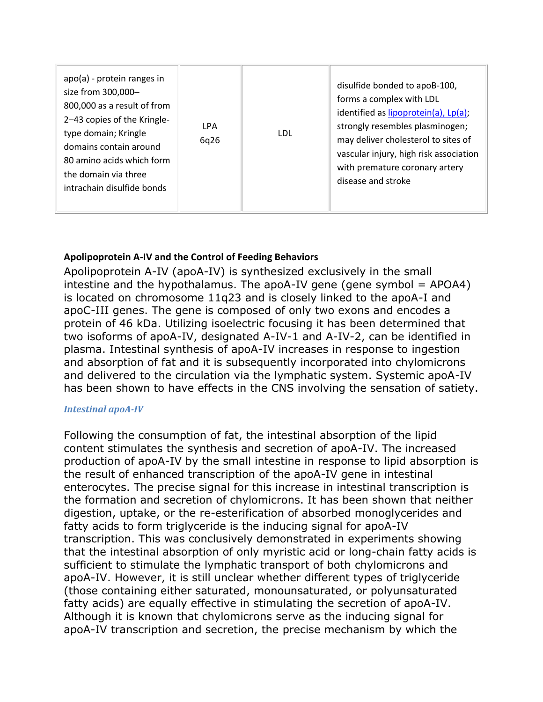#### **Apolipoprotein A-IV and the Control of Feeding Behaviors**

Apolipoprotein A-IV (apoA-IV) is synthesized exclusively in the small intestine and the hypothalamus. The apoA-IV gene (gene symbol  $=$  APOA4) is located on chromosome 11q23 and is closely linked to the apoA-I and apoC-III genes. The gene is composed of only two exons and encodes a protein of 46 kDa. Utilizing isoelectric focusing it has been determined that two isoforms of apoA-IV, designated A-IV-1 and A-IV-2, can be identified in plasma. Intestinal synthesis of apoA-IV increases in response to ingestion and absorption of fat and it is subsequently incorporated into chylomicrons and delivered to the circulation via the lymphatic system. Systemic apoA-IV has been shown to have effects in the CNS involving the sensation of satiety.

#### *Intestinal apoA-IV*

Following the consumption of fat, the intestinal absorption of the lipid content stimulates the synthesis and secretion of apoA-IV. The increased production of apoA-IV by the small intestine in response to lipid absorption is the result of enhanced transcription of the apoA-IV gene in intestinal enterocytes. The precise signal for this increase in intestinal transcription is the formation and secretion of chylomicrons. It has been shown that neither digestion, uptake, or the re-esterification of absorbed monoglycerides and fatty acids to form triglyceride is the inducing signal for apoA-IV transcription. This was conclusively demonstrated in experiments showing that the intestinal absorption of only myristic acid or long-chain fatty acids is sufficient to stimulate the lymphatic transport of both chylomicrons and apoA-IV. However, it is still unclear whether different types of triglyceride (those containing either saturated, monounsaturated, or polyunsaturated fatty acids) are equally effective in stimulating the secretion of apoA-IV. Although it is known that chylomicrons serve as the inducing signal for apoA-IV transcription and secretion, the precise mechanism by which the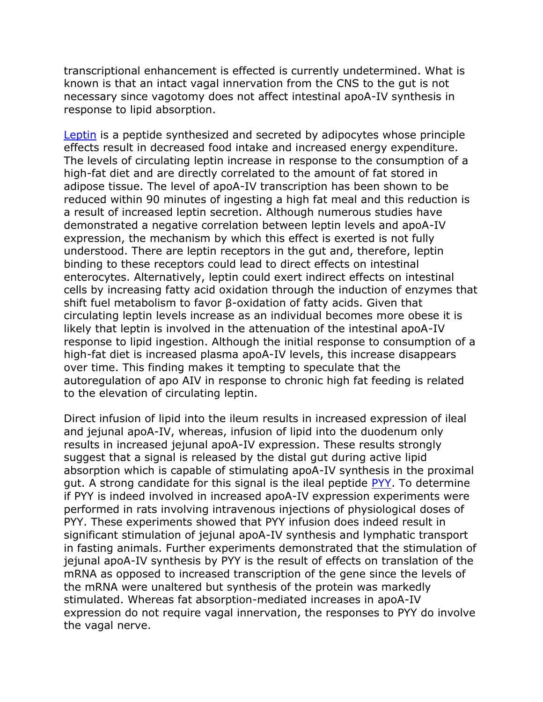transcriptional enhancement is effected is currently undetermined. What is known is that an intact vagal innervation from the CNS to the gut is not necessary since vagotomy does not affect intestinal apoA-IV synthesis in response to lipid absorption.

[Leptin](http://themedicalbiochemistrypage.org/adipose-tissue.php#leptin) is a peptide synthesized and secreted by adipocytes whose principle effects result in decreased food intake and increased energy expenditure. The levels of circulating leptin increase in response to the consumption of a high-fat diet and are directly correlated to the amount of fat stored in adipose tissue. The level of apoA-IV transcription has been shown to be reduced within 90 minutes of ingesting a high fat meal and this reduction is a result of increased leptin secretion. Although numerous studies have demonstrated a negative correlation between leptin levels and apoA-IV expression, the mechanism by which this effect is exerted is not fully understood. There are leptin receptors in the gut and, therefore, leptin binding to these receptors could lead to direct effects on intestinal enterocytes. Alternatively, leptin could exert indirect effects on intestinal cells by increasing fatty acid oxidation through the induction of enzymes that shift fuel metabolism to favor β-oxidation of fatty acids. Given that circulating leptin levels increase as an individual becomes more obese it is likely that leptin is involved in the attenuation of the intestinal apoA-IV response to lipid ingestion. Although the initial response to consumption of a high-fat diet is increased plasma apoA-IV levels, this increase disappears over time. This finding makes it tempting to speculate that the autoregulation of apo AIV in response to chronic high fat feeding is related to the elevation of circulating leptin.

Direct infusion of lipid into the ileum results in increased expression of ileal and jejunal apoA-IV, whereas, infusion of lipid into the duodenum only results in increased jejunal apoA-IV expression. These results strongly suggest that a signal is released by the distal gut during active lipid absorption which is capable of stimulating apoA-IV synthesis in the proximal gut. A strong candidate for this signal is the ileal peptide [PYY.](http://themedicalbiochemistrypage.org/gut-brain.php#pyy) To determine if PYY is indeed involved in increased apoA-IV expression experiments were performed in rats involving intravenous injections of physiological doses of PYY. These experiments showed that PYY infusion does indeed result in significant stimulation of jejunal apoA-IV synthesis and lymphatic transport in fasting animals. Further experiments demonstrated that the stimulation of jejunal apoA-IV synthesis by PYY is the result of effects on translation of the mRNA as opposed to increased transcription of the gene since the levels of the mRNA were unaltered but synthesis of the protein was markedly stimulated. Whereas fat absorption-mediated increases in apoA-IV expression do not require vagal innervation, the responses to PYY do involve the vagal nerve.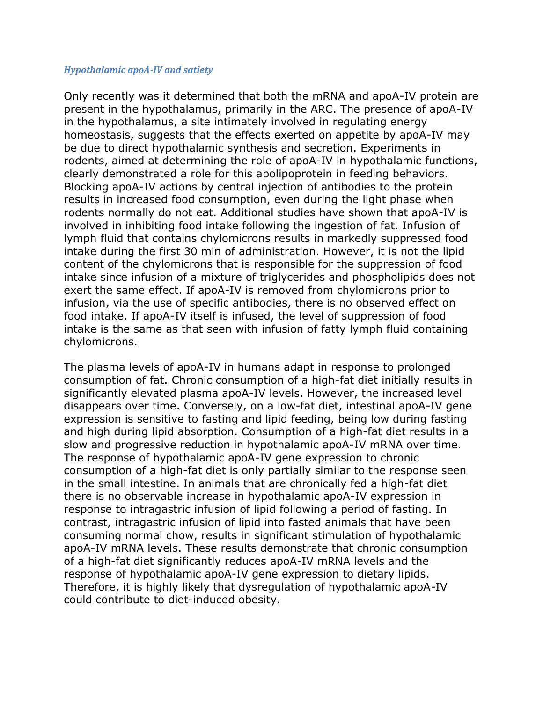#### *Hypothalamic apoA-IV and satiety*

Only recently was it determined that both the mRNA and apoA-IV protein are present in the hypothalamus, primarily in the ARC. The presence of apoA-IV in the hypothalamus, a site intimately involved in regulating energy homeostasis, suggests that the effects exerted on appetite by apoA-IV may be due to direct hypothalamic synthesis and secretion. Experiments in rodents, aimed at determining the role of apoA-IV in hypothalamic functions, clearly demonstrated a role for this apolipoprotein in feeding behaviors. Blocking apoA-IV actions by central injection of antibodies to the protein results in increased food consumption, even during the light phase when rodents normally do not eat. Additional studies have shown that apoA-IV is involved in inhibiting food intake following the ingestion of fat. Infusion of lymph fluid that contains chylomicrons results in markedly suppressed food intake during the first 30 min of administration. However, it is not the lipid content of the chylomicrons that is responsible for the suppression of food intake since infusion of a mixture of triglycerides and phospholipids does not exert the same effect. If apoA-IV is removed from chylomicrons prior to infusion, via the use of specific antibodies, there is no observed effect on food intake. If apoA-IV itself is infused, the level of suppression of food intake is the same as that seen with infusion of fatty lymph fluid containing chylomicrons.

The plasma levels of apoA-IV in humans adapt in response to prolonged consumption of fat. Chronic consumption of a high-fat diet initially results in significantly elevated plasma apoA-IV levels. However, the increased level disappears over time. Conversely, on a low-fat diet, intestinal apoA-IV gene expression is sensitive to fasting and lipid feeding, being low during fasting and high during lipid absorption. Consumption of a high-fat diet results in a slow and progressive reduction in hypothalamic apoA-IV mRNA over time. The response of hypothalamic apoA-IV gene expression to chronic consumption of a high-fat diet is only partially similar to the response seen in the small intestine. In animals that are chronically fed a high-fat diet there is no observable increase in hypothalamic apoA-IV expression in response to intragastric infusion of lipid following a period of fasting. In contrast, intragastric infusion of lipid into fasted animals that have been consuming normal chow, results in significant stimulation of hypothalamic apoA-IV mRNA levels. These results demonstrate that chronic consumption of a high-fat diet significantly reduces apoA-IV mRNA levels and the response of hypothalamic apoA-IV gene expression to dietary lipids. Therefore, it is highly likely that dysregulation of hypothalamic apoA-IV could contribute to diet-induced obesity.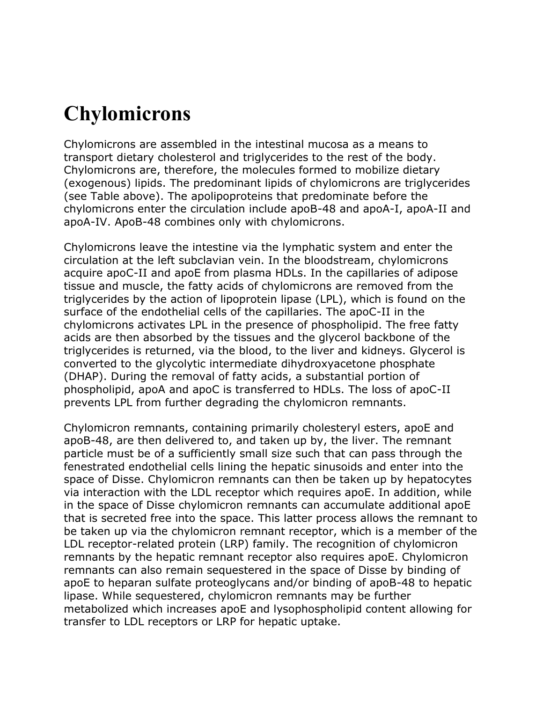## **Chylomicrons**

Chylomicrons are assembled in the intestinal mucosa as a means to transport dietary cholesterol and triglycerides to the rest of the body. Chylomicrons are, therefore, the molecules formed to mobilize dietary (exogenous) lipids. The predominant lipids of chylomicrons are triglycerides (see Table above). The apolipoproteins that predominate before the chylomicrons enter the circulation include apoB-48 and apoA-I, apoA-II and apoA-IV. ApoB-48 combines only with chylomicrons.

Chylomicrons leave the intestine via the lymphatic system and enter the circulation at the left subclavian vein. In the bloodstream, chylomicrons acquire apoC-II and apoE from plasma HDLs. In the capillaries of adipose tissue and muscle, the fatty acids of chylomicrons are removed from the triglycerides by the action of lipoprotein lipase (LPL), which is found on the surface of the endothelial cells of the capillaries. The apoC-II in the chylomicrons activates LPL in the presence of phospholipid. The free fatty acids are then absorbed by the tissues and the glycerol backbone of the triglycerides is returned, via the blood, to the liver and kidneys. Glycerol is converted to the glycolytic intermediate dihydroxyacetone phosphate (DHAP). During the removal of fatty acids, a substantial portion of phospholipid, apoA and apoC is transferred to HDLs. The loss of apoC-II prevents LPL from further degrading the chylomicron remnants.

Chylomicron remnants, containing primarily cholesteryl esters, apoE and apoB-48, are then delivered to, and taken up by, the liver. The remnant particle must be of a sufficiently small size such that can pass through the fenestrated endothelial cells lining the hepatic sinusoids and enter into the space of Disse. Chylomicron remnants can then be taken up by hepatocytes via interaction with the LDL receptor which requires apoE. In addition, while in the space of Disse chylomicron remnants can accumulate additional apoE that is secreted free into the space. This latter process allows the remnant to be taken up via the chylomicron remnant receptor, which is a member of the LDL receptor-related protein (LRP) family. The recognition of chylomicron remnants by the hepatic remnant receptor also requires apoE. Chylomicron remnants can also remain sequestered in the space of Disse by binding of apoE to heparan sulfate proteoglycans and/or binding of apoB-48 to hepatic lipase. While sequestered, chylomicron remnants may be further metabolized which increases apoE and lysophospholipid content allowing for transfer to LDL receptors or LRP for hepatic uptake.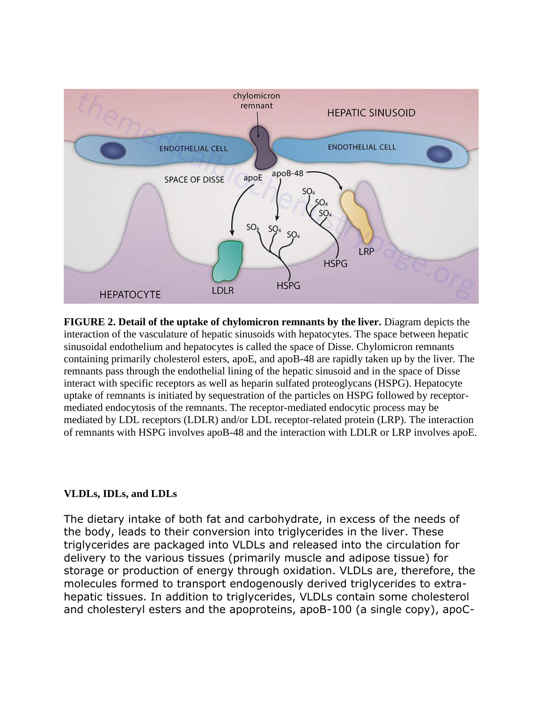

**FIGURE 2. Detail of the uptake of chylomicron remnants by the liver.** Diagram depicts the interaction of the vasculature of hepatic sinusoids with hepatocytes. The space between hepatic sinusoidal endothelium and hepatocytes is called the space of Disse. Chylomicron remnants containing primarily cholesterol esters, apoE, and apoB-48 are rapidly taken up by the liver. The remnants pass through the endothelial lining of the hepatic sinusoid and in the space of Disse interact with specific receptors as well as heparin sulfated proteoglycans (HSPG). Hepatocyte uptake of remnants is initiated by sequestration of the particles on HSPG followed by receptormediated endocytosis of the remnants. The receptor-mediated endocytic process may be mediated by LDL receptors (LDLR) and/or LDL receptor-related protein (LRP). The interaction of remnants with HSPG involves apoB-48 and the interaction with LDLR or LRP involves apoE.

#### **VLDLs, IDLs, and LDLs**

The dietary intake of both fat and carbohydrate, in excess of the needs of the body, leads to their conversion into triglycerides in the liver. These triglycerides are packaged into VLDLs and released into the circulation for delivery to the various tissues (primarily muscle and adipose tissue) for storage or production of energy through oxidation. VLDLs are, therefore, the molecules formed to transport endogenously derived triglycerides to extrahepatic tissues. In addition to triglycerides, VLDLs contain some cholesterol and cholesteryl esters and the apoproteins, apoB-100 (a single copy), apoC-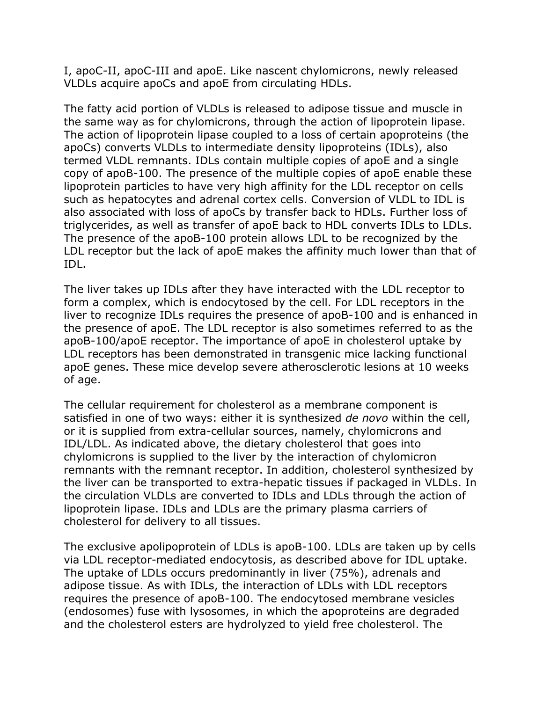I, apoC-II, apoC-III and apoE. Like nascent chylomicrons, newly released VLDLs acquire apoCs and apoE from circulating HDLs.

The fatty acid portion of VLDLs is released to adipose tissue and muscle in the same way as for chylomicrons, through the action of lipoprotein lipase. The action of lipoprotein lipase coupled to a loss of certain apoproteins (the apoCs) converts VLDLs to intermediate density lipoproteins (IDLs), also termed VLDL remnants. IDLs contain multiple copies of apoE and a single copy of apoB-100. The presence of the multiple copies of apoE enable these lipoprotein particles to have very high affinity for the LDL receptor on cells such as hepatocytes and adrenal cortex cells. Conversion of VLDL to IDL is also associated with loss of apoCs by transfer back to HDLs. Further loss of triglycerides, as well as transfer of apoE back to HDL converts IDLs to LDLs. The presence of the apoB-100 protein allows LDL to be recognized by the LDL receptor but the lack of apoE makes the affinity much lower than that of IDL.

The liver takes up IDLs after they have interacted with the LDL receptor to form a complex, which is endocytosed by the cell. For LDL receptors in the liver to recognize IDLs requires the presence of apoB-100 and is enhanced in the presence of apoE. The LDL receptor is also sometimes referred to as the apoB-100/apoE receptor. The importance of apoE in cholesterol uptake by LDL receptors has been demonstrated in transgenic mice lacking functional apoE genes. These mice develop severe atherosclerotic lesions at 10 weeks of age.

The cellular requirement for cholesterol as a membrane component is satisfied in one of two ways: either it is synthesized *de novo* within the cell, or it is supplied from extra-cellular sources, namely, chylomicrons and IDL/LDL. As indicated above, the dietary cholesterol that goes into chylomicrons is supplied to the liver by the interaction of chylomicron remnants with the remnant receptor. In addition, cholesterol synthesized by the liver can be transported to extra-hepatic tissues if packaged in VLDLs. In the circulation VLDLs are converted to IDLs and LDLs through the action of lipoprotein lipase. IDLs and LDLs are the primary plasma carriers of cholesterol for delivery to all tissues.

The exclusive apolipoprotein of LDLs is apoB-100. LDLs are taken up by cells via LDL receptor-mediated endocytosis, as described above for IDL uptake. The uptake of LDLs occurs predominantly in liver (75%), adrenals and adipose tissue. As with IDLs, the interaction of LDLs with LDL receptors requires the presence of apoB-100. The endocytosed membrane vesicles (endosomes) fuse with lysosomes, in which the apoproteins are degraded and the cholesterol esters are hydrolyzed to yield free cholesterol. The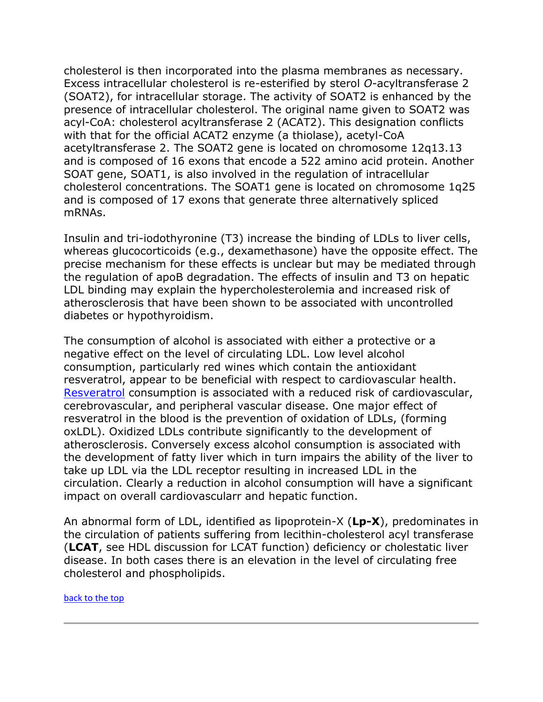cholesterol is then incorporated into the plasma membranes as necessary. Excess intracellular cholesterol is re-esterified by sterol *O*-acyltransferase 2 (SOAT2), for intracellular storage. The activity of SOAT2 is enhanced by the presence of intracellular cholesterol. The original name given to SOAT2 was acyl-CoA: cholesterol acyltransferase 2 (ACAT2). This designation conflicts with that for the official ACAT2 enzyme (a thiolase), acetyl-CoA acetyltransferase 2. The SOAT2 gene is located on chromosome 12q13.13 and is composed of 16 exons that encode a 522 amino acid protein. Another SOAT gene, SOAT1, is also involved in the regulation of intracellular cholesterol concentrations. The SOAT1 gene is located on chromosome 1q25 and is composed of 17 exons that generate three alternatively spliced mRNAs.

Insulin and tri-iodothyronine (T3) increase the binding of LDLs to liver cells, whereas glucocorticoids (e.g., dexamethasone) have the opposite effect. The precise mechanism for these effects is unclear but may be mediated through the regulation of apoB degradation. The effects of insulin and T3 on hepatic LDL binding may explain the hypercholesterolemia and increased risk of atherosclerosis that have been shown to be associated with uncontrolled diabetes or hypothyroidism.

The consumption of alcohol is associated with either a protective or a negative effect on the level of circulating LDL. Low level alcohol consumption, particularly red wines which contain the antioxidant resveratrol, appear to be beneficial with respect to cardiovascular health. [Resveratrol](http://supplementscience.org/resveratrol.html) consumption is associated with a reduced risk of cardiovascular, cerebrovascular, and peripheral vascular disease. One major effect of resveratrol in the blood is the prevention of oxidation of LDLs, (forming oxLDL). Oxidized LDLs contribute significantly to the development of atherosclerosis. Conversely excess alcohol consumption is associated with the development of fatty liver which in turn impairs the ability of the liver to take up LDL via the LDL receptor resulting in increased LDL in the circulation. Clearly a reduction in alcohol consumption will have a significant impact on overall cardiovascularr and hepatic function.

An abnormal form of LDL, identified as lipoprotein-X (**Lp-X**), predominates in the circulation of patients suffering from lecithin-cholesterol acyl transferase (**LCAT**, see HDL discussion for LCAT function) deficiency or cholestatic liver disease. In both cases there is an elevation in the level of circulating free cholesterol and phospholipids.

#### [back to the top](http://themedicalbiochemistrypage.org/lipoproteins.php#top)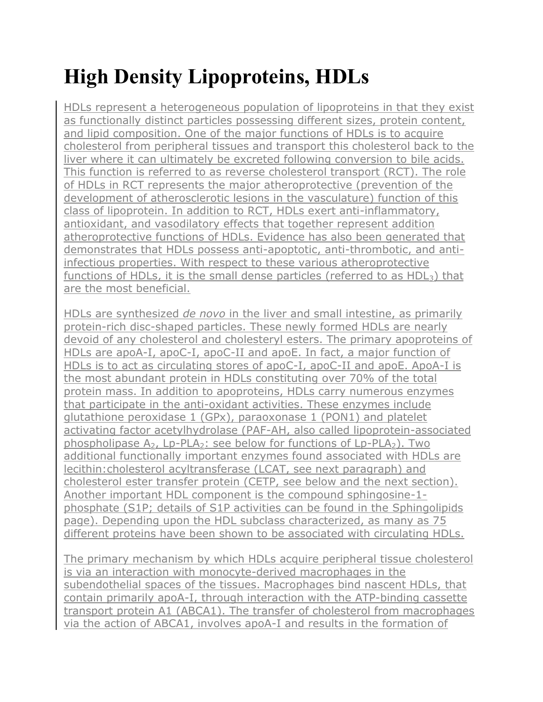# **High Density Lipoproteins, HDLs**

HDLs represent a heterogeneous population of lipoproteins in that they exist as functionally distinct particles possessing different sizes, protein content, and lipid composition. One of the major functions of HDLs is to acquire cholesterol from peripheral tissues and transport this cholesterol back to the liver where it can ultimately be excreted following conversion to [bile acids.](http://themedicalbiochemistrypage.org/bileacids.php) This function is referred to as reverse cholesterol transport (RCT). The role of HDLs in RCT represents the major atheroprotective (prevention of the development of atherosclerotic lesions in the vasculature) function of this class of lipoprotein. In addition to RCT, HDLs exert anti-inflammatory, antioxidant, and vasodilatory effects that together represent addition atheroprotective functions of HDLs. Evidence has also been generated that demonstrates that HDLs possess anti-apoptotic, anti-thrombotic, and antiinfectious properties. With respect to these various atheroprotective functions of HDLs, it is the small dense particles (referred to as  $HDL<sub>3</sub>$ ) that are the most beneficial.

HDLs are synthesized *de novo* in the liver and small intestine, as primarily protein-rich disc-shaped particles. These newly formed HDLs are nearly devoid of any cholesterol and cholesteryl esters. The primary apoproteins of HDLs are apoA-I, apoC-I, apoC-II and apoE. In fact, a major function of HDLs is to act as circulating stores of apoC-I, apoC-II and apoE. ApoA-I is the most abundant protein in HDLs constituting over 70% of the total protein mass. In addition to apoproteins, HDLs carry numerous enzymes that participate in the anti-oxidant activities. These enzymes include glutathione peroxidase 1 (GPx), paraoxonase 1 (PON1) and platelet activating factor acetylhydrolase (PAF-AH, also called lipoprotein-associated phospholipase  $A_2$ , Lp-PLA<sub>2</sub>: [see below](http://themedicalbiochemistrypage.org/lipoproteins.php#lppla2) for functions of Lp-PLA<sub>2</sub>). Two additional functionally important enzymes found associated with HDLs are lecithin:cholesterol acyltransferase (LCAT, see next paragraph) and cholesterol ester transfer protein (CETP, see below and the [next section\)](http://themedicalbiochemistrypage.org/lipoproteins.php#hdltherapies). Another important HDL component is the compound sphingosine-1 phosphate (S1P; details of S1P activities can be found in the [Sphingolipids](http://themedicalbiochemistrypage.org/sphingolipids.php#s1p) page). Depending upon the HDL subclass characterized, as many as 75 different proteins have been shown to be associated with circulating HDLs.

The primary mechanism by which HDLs acquire peripheral tissue cholesterol is via an interaction with monocyte-derived macrophages in the subendothelial spaces of the tissues. Macrophages bind nascent HDLs, that contain primarily apoA-I, through interaction with the [ATP-binding cassette](http://themedicalbiochemistrypage.org/membranes.php#abc)  [transport protein A1 \(ABCA1\).](http://themedicalbiochemistrypage.org/membranes.php#abc) The transfer of cholesterol from macrophages via the action of ABCA1, involves apoA-I and results in the formation of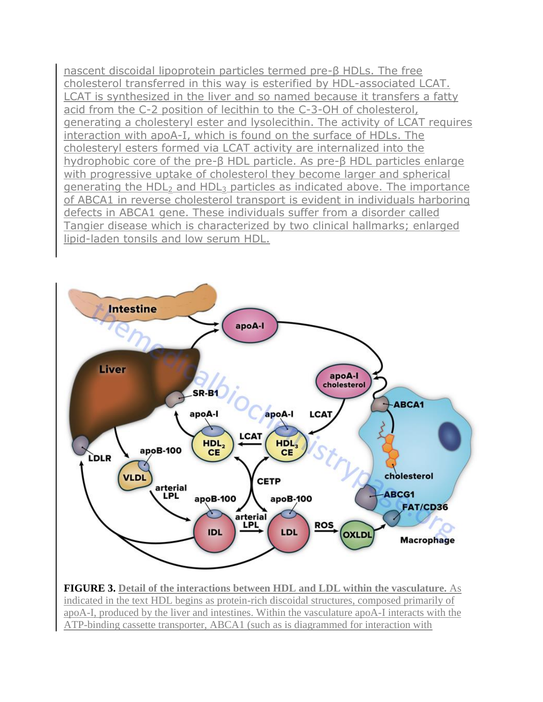nascent discoidal lipoprotein particles termed pre-β HDLs. The free cholesterol transferred in this way is esterified by HDL-associated LCAT. LCAT is synthesized in the liver and so named because it transfers a fatty acid from the C-2 position of lecithin to the C-3-OH of cholesterol, generating a cholesteryl ester and lysolecithin. The activity of LCAT requires interaction with apoA-I, which is found on the surface of HDLs. The cholesteryl esters formed via LCAT activity are internalized into the hydrophobic core of the pre-β HDL particle. As pre-β HDL particles enlarge with progressive uptake of cholesterol they become larger and spherical generating the HDL<sub>2</sub> and HDL<sub>3</sub> particles as indicated above. The importance of ABCA1 in reverse cholesterol transport is evident in individuals harboring defects in ABCA1 gene. These individuals suffer from a disorder called [Tangier disease](http://themedicalbiochemistrypage.org/tangierdisease.php) which is characterized by two clinical hallmarks; enlarged lipid-laden tonsils and low serum HDL.



**FIGURE 3. Detail of the interactions between HDL and LDL within the vasculature.** As indicated in the text HDL begins as protein-rich discoidal structures, composed primarily of apoA-I, produced by the liver and intestines. Within the vasculature apoA-I interacts with the ATP-binding cassette transporter, ABCA1 (such as is diagrammed for interaction with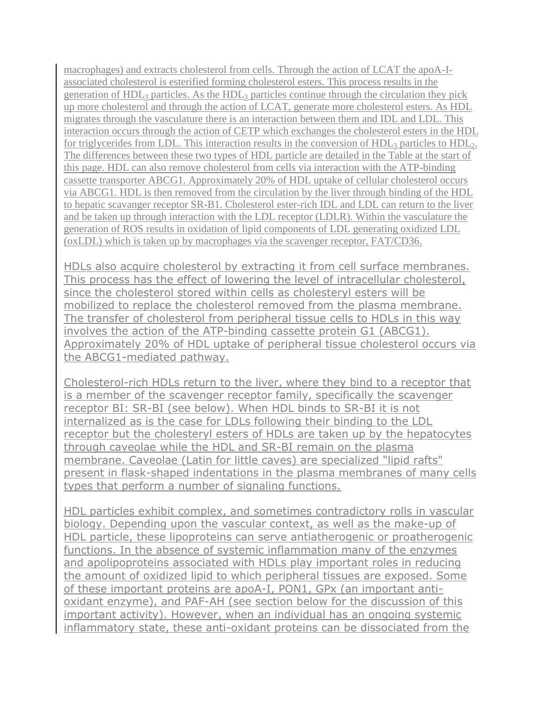macrophages) and extracts cholesterol from cells. Through the action of LCAT the apoA-Iassociated cholesterol is esterified forming cholesterol esters. This process results in the generation of  $HDL<sub>3</sub>$  particles. As the  $HDL<sub>3</sub>$  particles continue through the circulation they pick up more cholesterol and through the action of LCAT, generate more cholesterol esters. As HDL migrates through the vasculature there is an interaction between them and IDL and LDL. This interaction occurs through the action of CETP which exchanges the cholesterol esters in the HDL for triglycerides from LDL. This interaction results in the conversion of  $HDL<sub>3</sub>$  particles to  $HDL<sub>2</sub>$ . The differences between these two types of HDL particle are detailed in the Table at the start of this page. HDL can also remove cholesterol from cells via interaction with the ATP-binding cassette transporter ABCG1. Approximately 20% of HDL uptake of cellular cholesterol occurs via ABCG1. HDL is then removed from the circulation by the liver through binding of the HDL to hepatic scavanger receptor SR-B1. Cholesterol ester-rich IDL and LDL can return to the liver and be taken up through interaction with the LDL receptor (LDLR). Within the vasculature the generation of ROS results in oxidation of lipid components of LDL generating oxidized LDL (oxLDL) which is taken up by macrophages via the scavenger receptor, FAT/CD36.

HDLs also acquire cholesterol by extracting it from cell surface membranes. This process has the effect of lowering the level of intracellular cholesterol, since the cholesterol stored within cells as cholesteryl esters will be mobilized to replace the cholesterol removed from the plasma membrane. The transfer of cholesterol from peripheral tissue cells to HDLs in this way involves the action of the [ATP-binding cassette protein G1 \(ABCG1\).](http://themedicalbiochemistrypage.org/membranes.php#abc) Approximately 20% of HDL uptake of peripheral tissue cholesterol occurs via the ABCG1-mediated pathway.

Cholesterol-rich HDLs return to the liver, where they bind to a receptor that is a member of the scavenger receptor family, specifically the scavenger receptor BI: SR-BI (see below). When HDL binds to SR-BI it is not internalized as is the case for LDLs following their binding to the LDL receptor but the cholesteryl esters of HDLs are taken up by the hepatocytes through caveolae while the HDL and SR-BI remain on the plasma membrane. Caveolae (Latin for little caves) are specialized "lipid rafts" present in flask-shaped indentations in the plasma membranes of many cells types that perform a number of signaling functions.

HDL particles exhibit complex, and sometimes contradictory rolls in vascular biology. Depending upon the vascular context, as well as the make-up of HDL particle, these lipoproteins can serve antiatherogenic or proatherogenic functions. In the absence of systemic inflammation many of the enzymes and apolipoproteins associated with HDLs play important roles in reducing the amount of oxidized lipid to which peripheral tissues are exposed. Some of these important proteins are apoA-I, PON1, GPx (an important antioxidant enzyme), and PAF-AH [\(see section below](http://themedicalbiochemistrypage.org/lipoproteins.php#hdltherapies) for the discussion of this important activity). However, when an individual has an ongoing systemic inflammatory state, these anti-oxidant proteins can be dissociated from the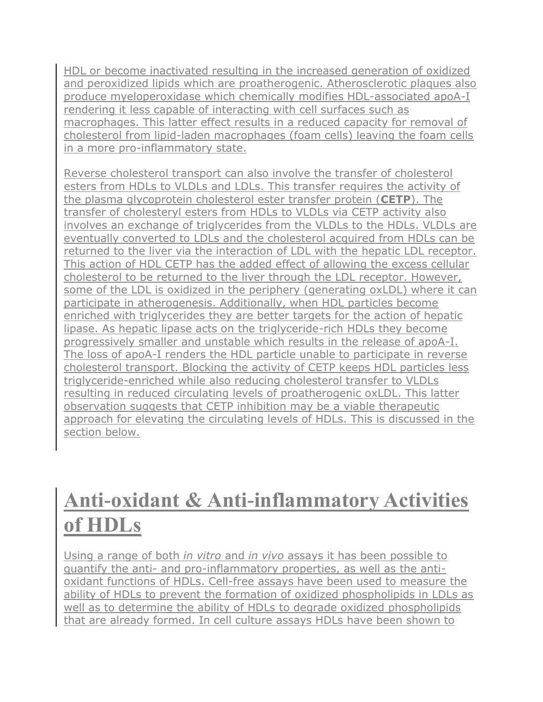HDL or become inactivated resulting in the increased generation of oxidized and peroxidized lipids which are proatherogenic. Atherosclerotic plaques also produce myeloperoxidase which chemically modifies HDL-associated apoA-I rendering it less capable of interacting with cell surfaces such as macrophages. This latter effect results in a reduced capacity for removal of cholesterol from lipid-laden macrophages (foam cells) leaving the foam cells in a more pro-inflammatory state.

Reverse cholesterol transport can also involve the transfer of cholesterol esters from HDLs to VLDLs and LDLs. This transfer requires the activity of the plasma glycoprotein cholesterol ester transfer protein (**CETP**). The transfer of cholesteryl esters from HDLs to VLDLs via CETP activity also involves an exchange of triglycerides from the VLDLs to the HDLs. VLDLs are eventually converted to LDLs and the cholesterol acquired from HDLs can be returned to the liver via the interaction of LDL with the hepatic LDL receptor. This action of HDL CETP has the added effect of allowing the excess cellular cholesterol to be returned to the liver through the LDL receptor. However, some of the LDL is oxidized in the periphery (generating oxLDL) where it can participate in atherogenesis. Additionally, when HDL particles become enriched with triglycerides they are better targets for the action of hepatic lipase. As hepatic lipase acts on the triglyceride-rich HDLs they become progressively smaller and unstable which results in the release of apoA-I. The loss of apoA-I renders the HDL particle unable to participate in reverse cholesterol transport. Blocking the activity of CETP keeps HDL particles less triglyceride-enriched while also reducing cholesterol transfer to VLDLs resulting in reduced circulating levels of proatherogenic oxLDL. This latter observation suggests that CETP inhibition may be a viable therapeutic approach for elevating the circulating levels of HDLs. This is discussed in the section below.

## **Anti-oxidant & Anti-inflammatory Activities of HDLs**

Using a range of both *in vitro* and *in vivo* assays it has been possible to quantify the anti- and pro-inflammatory properties, as well as the antioxidant functions of HDLs. Cell-free assays have been used to measure the ability of HDLs to prevent the formation of oxidized phospholipids in LDLs as well as to determine the ability of HDLs to degrade oxidized phospholipids that are already formed. In cell culture assays HDLs have been shown to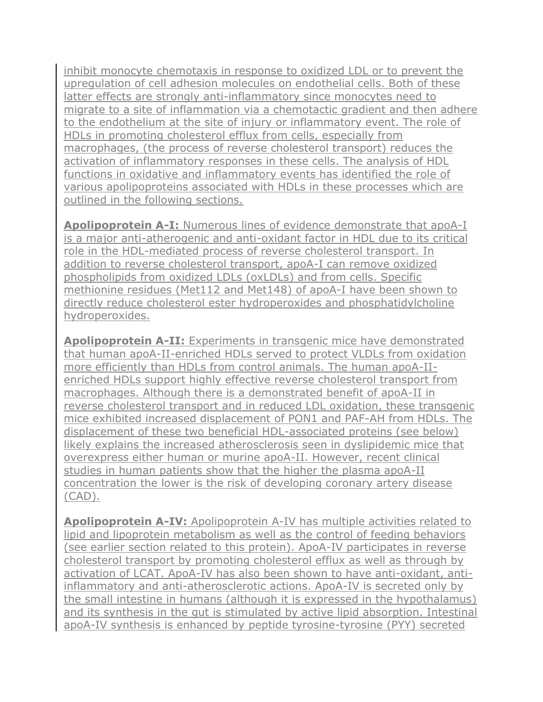inhibit monocyte chemotaxis in response to oxidized LDL or to prevent the upregulation of cell adhesion molecules on endothelial cells. Both of these latter effects are strongly anti-inflammatory since monocytes need to migrate to a site of inflammation via a chemotactic gradient and then adhere to the endothelium at the site of injury or inflammatory event. The role of HDLs in promoting cholesterol efflux from cells, especially from macrophages, (the process of reverse cholesterol transport) reduces the activation of inflammatory responses in these cells. The analysis of HDL functions in oxidative and inflammatory events has identified the role of various apolipoproteins associated with HDLs in these processes which are outlined in the following sections.

**Apolipoprotein A-I:** Numerous lines of evidence demonstrate that apoA-I is a major anti-atherogenic and anti-oxidant factor in HDL due to its critical role in the HDL-mediated process of reverse cholesterol transport. In addition to reverse cholesterol transport, apoA-I can remove oxidized phospholipids from oxidized LDLs (oxLDLs) and from cells. Specific methionine residues (Met112 and Met148) of apoA-I have been shown to directly reduce cholesterol ester hydroperoxides and phosphatidylcholine hydroperoxides.

**Apolipoprotein A-II:** Experiments in transgenic mice have demonstrated that human apoA-II-enriched HDLs served to protect VLDLs from oxidation more efficiently than HDLs from control animals. The human apoA-IIenriched HDLs support highly effective reverse cholesterol transport from macrophages. Although there is a demonstrated benefit of apoA-II in reverse cholesterol transport and in reduced LDL oxidation, these transgenic mice exhibited increased displacement of PON1 and PAF-AH from HDLs. The displacement of these two beneficial HDL-associated proteins (see below) likely explains the increased atherosclerosis seen in dyslipidemic mice that overexpress either human or murine apoA-II. However, recent clinical studies in human patients show that the higher the plasma apoA-II concentration the lower is the risk of developing coronary artery disease (CAD).

**Apolipoprotein A-IV:** Apolipoprotein A-IV has multiple activities related to lipid and lipoprotein metabolism as well as the control of feeding behaviors (see earlier section related to this protein). ApoA-IV participates in reverse cholesterol transport by promoting cholesterol efflux as well as through by activation of LCAT. ApoA-IV has also been shown to have anti-oxidant, antiinflammatory and anti-atherosclerotic actions. ApoA-IV is secreted only by the small intestine in humans (although it is expressed in the hypothalamus) and its synthesis in the gut is stimulated by active lipid absorption. Intestinal apoA-IV synthesis is enhanced by [peptide tyrosine-tyrosine \(PYY\)](http://themedicalbiochemistrypage.org/gut-brain.php#pyy) secreted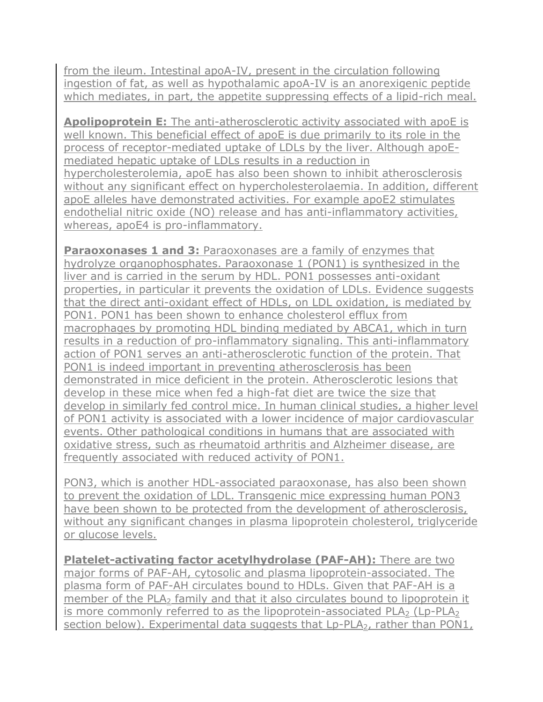from the ileum. Intestinal apoA-IV, present in the circulation following ingestion of fat, as well as hypothalamic apoA-IV is an anorexigenic peptide which mediates, in part, the appetite suppressing effects of a lipid-rich meal.

**Apolipoprotein E:** The anti-atherosclerotic activity associated with apoE is well known. This beneficial effect of apoE is due primarily to its role in the process of receptor-mediated uptake of LDLs by the liver. Although apoEmediated hepatic uptake of LDLs results in a reduction in hypercholesterolemia, apoE has also been shown to inhibit atherosclerosis without any significant effect on hypercholesterolaemia. In addition, different apoE alleles have demonstrated activities. For example apoE2 stimulates endothelial nitric oxide (NO) release and has anti-inflammatory activities, whereas, apoE4 is pro-inflammatory.

**Paraoxonases 1 and 3: Paraoxonases are a family of enzymes that** hydrolyze organophosphates. Paraoxonase 1 (PON1) is synthesized in the liver and is carried in the serum by HDL. PON1 possesses anti-oxidant properties, in particular it prevents the oxidation of LDLs. Evidence suggests that the direct anti-oxidant effect of HDLs, on LDL oxidation, is mediated by PON1. PON1 has been shown to enhance cholesterol efflux from macrophages by promoting HDL binding mediated by ABCA1, which in turn results in a reduction of pro-inflammatory signaling. This anti-inflammatory action of PON1 serves an anti-atherosclerotic function of the protein. That PON1 is indeed important in preventing atherosclerosis has been demonstrated in mice deficient in the protein. Atherosclerotic lesions that develop in these mice when fed a high-fat diet are twice the size that develop in similarly fed control mice. In human clinical studies, a higher level of PON1 activity is associated with a lower incidence of major cardiovascular events. Other pathological conditions in humans that are associated with oxidative stress, such as rheumatoid arthritis and Alzheimer disease, are frequently associated with reduced activity of PON1.

PON3, which is another HDL-associated paraoxonase, has also been shown to prevent the oxidation of LDL. Transgenic mice expressing human PON3 have been shown to be protected from the development of atherosclerosis, without any significant changes in plasma lipoprotein cholesterol, triglyceride or glucose levels.

**Platelet-activating factor acetylhydrolase (PAF-AH):** There are two major forms of PAF-AH, cytosolic and plasma lipoprotein-associated. The plasma form of PAF-AH circulates bound to HDLs. Given that PAF-AH is a member of the PLA<sub>2</sub> family and that it also circulates bound to lipoprotein it is more commonly referred to as the lipoprotein-associated PLA<sub>2</sub> (Lp-PLA<sub>2</sub>) [section below\)](http://themedicalbiochemistrypage.org/lipoproteins.php#lppla2). Experimental data suggests that Lp-PLA<sub>2</sub>, rather than PON1,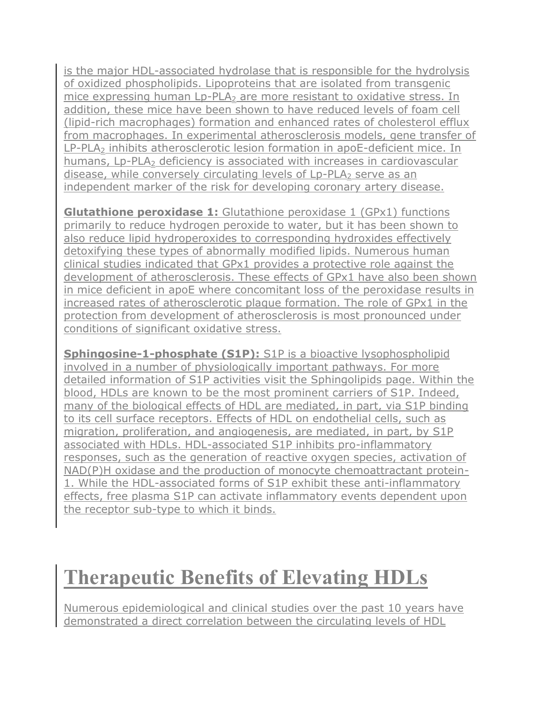is the major HDL-associated hydrolase that is responsible for the hydrolysis of oxidized phospholipids. Lipoproteins that are isolated from transgenic mice expressing human Lp-PLA<sub>2</sub> are more resistant to oxidative stress. In addition, these mice have been shown to have reduced levels of foam cell (lipid-rich macrophages) formation and enhanced rates of cholesterol efflux from macrophages. In experimental atherosclerosis models, gene transfer of LP-PLA<sub>2</sub> inhibits atherosclerotic lesion formation in apoE-deficient mice. In humans,  $L_p-PLA_2$  deficiency is associated with increases in cardiovascular disease, while conversely circulating levels of  $L_p$ -PLA<sub>2</sub> serve as an independent marker of the risk for developing coronary artery disease.

**Glutathione peroxidase 1:** [Glutathione peroxidase 1 \(GPx1\)](http://themedicalbiochemistrypage.org/minerals.php#selenium) functions primarily to reduce hydrogen peroxide to water, but it has been shown to also reduce lipid hydroperoxides to corresponding hydroxides effectively detoxifying these types of abnormally modified lipids. Numerous human clinical studies indicated that GPx1 provides a protective role against the development of atherosclerosis. These effects of GPx1 have also been shown in mice deficient in apoE where concomitant loss of the peroxidase results in increased rates of atherosclerotic plaque formation. The role of GPx1 in the protection from development of atherosclerosis is most pronounced under conditions of significant oxidative stress.

**Sphingosine-1-phosphate (S1P):** S1P is a bioactive lysophospholipid involved in a number of physiologically important pathways. For more detailed information of S1P activities visit the [Sphingolipids](http://themedicalbiochemistrypage.org/sphingolipids.php#s1p) page. Within the blood, HDLs are known to be the most prominent carriers of S1P. Indeed, many of the biological effects of HDL are mediated, in part, via S1P binding to its cell surface receptors. Effects of HDL on endothelial cells, such as migration, proliferation, and angiogenesis, are mediated, in part, by S1P associated with HDLs. HDL-associated S1P inhibits pro-inflammatory responses, such as the generation of reactive oxygen species, activation of NAD(P)H oxidase and the production of monocyte chemoattractant protein-1. While the HDL-associated forms of S1P exhibit these anti-inflammatory effects, free plasma S1P can activate inflammatory events dependent upon the receptor sub-type to which it binds.

## **Therapeutic Benefits of Elevating HDLs**

Numerous epidemiological and clinical studies over the past 10 years have demonstrated a direct correlation between the circulating levels of HDL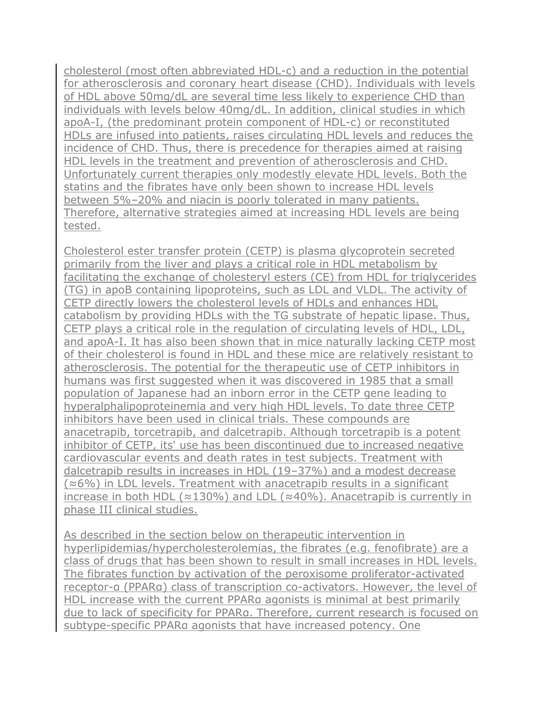cholesterol (most often abbreviated HDL-c) and a reduction in the potential for atherosclerosis and coronary heart disease (CHD). Individuals with levels of HDL above 50mg/dL are several time less likely to experience CHD than individuals with levels below 40mg/dL. In addition, clinical studies in which apoA-I, (the predominant protein component of HDL-c) or reconstituted HDLs are infused into patients, raises circulating HDL levels and reduces the incidence of CHD. Thus, there is precedence for therapies aimed at raising HDL levels in the treatment and prevention of atherosclerosis and CHD. Unfortunately current therapies only modestly elevate HDL levels. Both the statins and the fibrates have only been shown to increase HDL levels between 5%–20% and niacin is poorly tolerated in many patients. Therefore, alternative strategies aimed at increasing HDL levels are being tested.

Cholesterol ester transfer protein (CETP) is plasma glycoprotein secreted primarily from the liver and plays a critical role in HDL metabolism by facilitating the exchange of cholesteryl esters (CE) from HDL for triglycerides (TG) in apoB containing lipoproteins, such as LDL and VLDL. The activity of CETP directly lowers the cholesterol levels of HDLs and enhances HDL catabolism by providing HDLs with the TG substrate of hepatic lipase. Thus, CETP plays a critical role in the regulation of circulating levels of HDL, LDL, and apoA-I. It has also been shown that in mice naturally lacking CETP most of their cholesterol is found in HDL and these mice are relatively resistant to atherosclerosis. The potential for the therapeutic use of CETP inhibitors in humans was first suggested when it was discovered in 1985 that a small population of Japanese had an inborn error in the CETP gene leading to hyperalphalipoproteinemia and very high HDL levels. To date three CETP inhibitors have been used in clinical trials. These compounds are anacetrapib, torcetrapib, and dalcetrapib. Although torcetrapib is a potent inhibitor of CETP, its' use has been discontinued due to increased negative cardiovascular events and death rates in test subjects. Treatment with dalcetrapib results in increases in HDL (19–37%) and a modest decrease (≈6%) in LDL levels. Treatment with anacetrapib results in a significant increase in both HDL ( $\approx$ 130%) and LDL ( $\approx$ 40%). Anacetrapib is currently in phase III clinical studies.

As described in the section below on therapeutic intervention in hyperlipidemias/hypercholesterolemias, the fibrates (e.g. fenofibrate) are a class of drugs that has been shown to result in small increases in HDL levels. The fibrates function by activation of the peroxisome proliferator-activated receptor-α (PPARα) class of transcription co-activators. However, the level of HDL increase with the current PPARa agonists is minimal at best primarily due to lack of specificity for PPARα. Therefore, current research is focused on subtype-specific PPARα agonists that have increased potency. One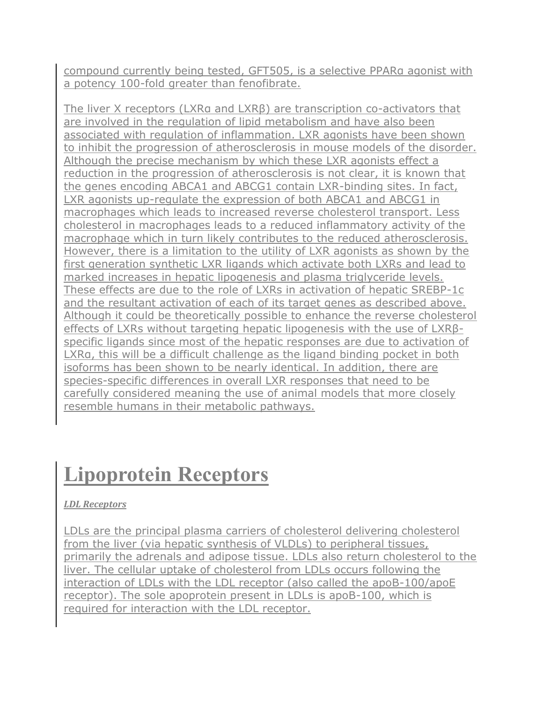compound currently being tested, GFT505, is a selective PPARα agonist with a potency 100-fold greater than fenofibrate.

[The liver X receptors](http://themedicalbiochemistrypage.org/lxr.php) (LXRα and LXRβ) are transcription co-activators that are involved in the regulation of lipid metabolism and have also been associated with regulation of inflammation. LXR agonists have been shown to inhibit the progression of atherosclerosis in mouse models of the disorder. Although the precise mechanism by which these LXR agonists effect a reduction in the progression of atherosclerosis is not clear, it is known that the genes encoding ABCA1 and ABCG1 contain LXR-binding sites. In fact, LXR agonists up-regulate the expression of both ABCA1 and ABCG1 in macrophages which leads to increased reverse cholesterol transport. Less cholesterol in macrophages leads to a reduced inflammatory activity of the macrophage which in turn likely contributes to the reduced atherosclerosis. However, there is a limitation to the utility of LXR agonists as shown by the first generation synthetic LXR ligands which activate both LXRs and lead to marked increases in hepatic lipogenesis and plasma triglyceride levels. These effects are due to the role of LXRs in activation of hepatic SREBP-1c and the resultant activation of each of its target genes as described above. Although it could be theoretically possible to enhance the reverse cholesterol effects of LXRs without targeting hepatic lipogenesis with the use of LXRβspecific ligands since most of the hepatic responses are due to activation of LXRα, this will be a difficult challenge as the ligand binding pocket in both isoforms has been shown to be nearly identical. In addition, there are species-specific differences in overall LXR responses that need to be carefully considered meaning the use of animal models that more closely resemble humans in their metabolic pathways.

## **Lipoprotein Receptors**

### *LDL Receptors*

LDLs are the principal plasma carriers of cholesterol delivering cholesterol from the liver (via hepatic synthesis of VLDLs) to peripheral tissues, primarily the adrenals and adipose tissue. LDLs also return cholesterol to the liver. The cellular uptake of cholesterol from LDLs occurs following the interaction of LDLs with the LDL receptor (also called the apoB-100/apoE receptor). The sole apoprotein present in LDLs is apoB-100, which is required for interaction with the LDL receptor.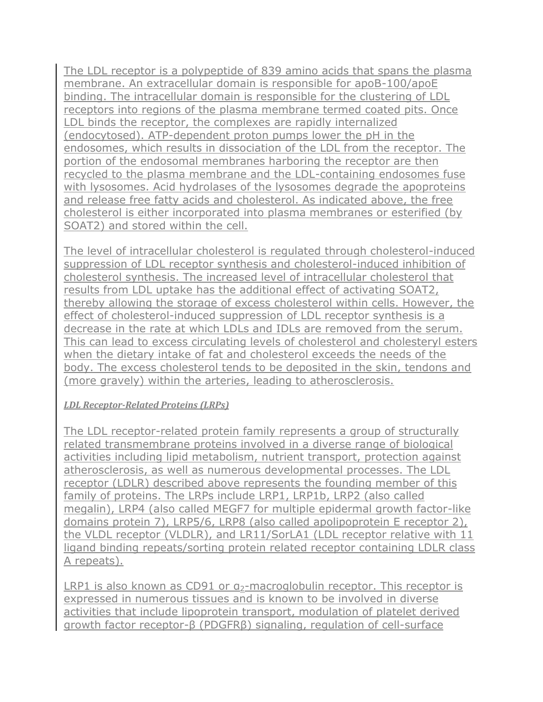The LDL receptor is a polypeptide of 839 amino acids that spans the plasma membrane. An extracellular domain is responsible for apoB-100/apoE binding. The intracellular domain is responsible for the clustering of LDL receptors into regions of the plasma membrane termed coated pits. Once LDL binds the receptor, the complexes are rapidly internalized (endocytosed). ATP-dependent proton pumps lower the pH in the endosomes, which results in dissociation of the LDL from the receptor. The portion of the endosomal membranes harboring the receptor are then recycled to the plasma membrane and the LDL-containing endosomes fuse with lysosomes. Acid hydrolases of the lysosomes degrade the apoproteins and release free fatty acids and cholesterol. As indicated above, the free cholesterol is either incorporated into plasma membranes or esterified (by SOAT2) and stored within the cell.

The level of intracellular cholesterol is regulated through cholesterol-induced suppression of LDL receptor synthesis and cholesterol-induced inhibition of cholesterol synthesis. The increased level of intracellular cholesterol that results from LDL uptake has the additional effect of activating SOAT2, thereby allowing the storage of excess cholesterol within cells. However, the effect of cholesterol-induced suppression of LDL receptor synthesis is a decrease in the rate at which LDLs and IDLs are removed from the serum. This can lead to excess circulating levels of cholesterol and cholesteryl esters when the dietary intake of fat and cholesterol exceeds the needs of the body. The excess cholesterol tends to be deposited in the skin, tendons and (more gravely) within the arteries, leading to atherosclerosis.

### *LDL Receptor-Related Proteins (LRPs)*

The LDL receptor-related protein family represents a group of structurally related transmembrane proteins involved in a diverse range of biological activities including lipid metabolism, nutrient transport, protection against atherosclerosis, as well as numerous developmental processes. The LDL receptor (LDLR) described above represents the founding member of this family of proteins. The LRPs include LRP1, LRP1b, LRP2 (also called megalin), LRP4 (also called MEGF7 for multiple epidermal growth factor-like domains protein 7), LRP5/6, LRP8 (also called apolipoprotein E receptor 2), the VLDL receptor (VLDLR), and LR11/SorLA1 (LDL receptor relative with 11 ligand binding repeats/sorting protein related receptor containing LDLR class A repeats).

LRP1 is also known as CD91 or  $a_2$ -macroglobulin receptor. This receptor is expressed in numerous tissues and is known to be involved in diverse activities that include lipoprotein transport, modulation of platelet derived growth factor receptor-β (PDGFRβ) signaling, regulation of cell-surface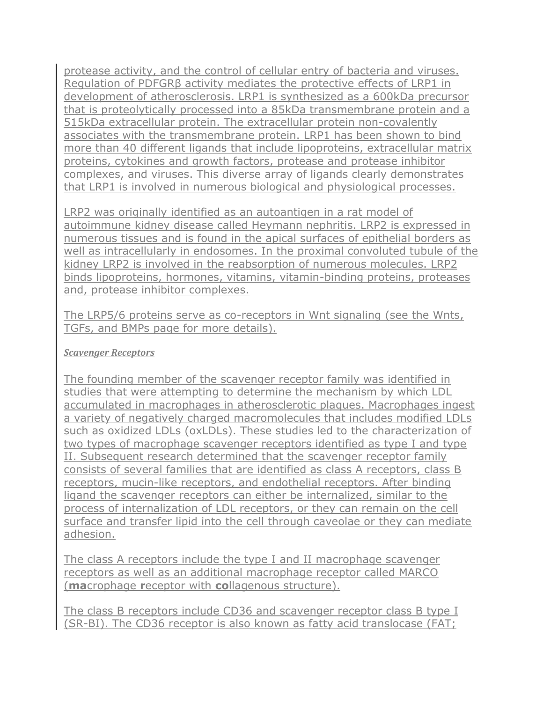protease activity, and the control of cellular entry of bacteria and viruses. Regulation of PDFGRβ activity mediates the protective effects of LRP1 in development of atherosclerosis. LRP1 is synthesized as a 600kDa precursor that is proteolytically processed into a 85kDa transmembrane protein and a 515kDa extracellular protein. The extracellular protein non-covalently associates with the transmembrane protein. LRP1 has been shown to bind more than 40 different ligands that include lipoproteins, extracellular matrix proteins, cytokines and growth factors, protease and protease inhibitor complexes, and viruses. This diverse array of ligands clearly demonstrates that LRP1 is involved in numerous biological and physiological processes.

LRP2 was originally identified as an autoantigen in a rat model of autoimmune kidney disease called Heymann nephritis. LRP2 is expressed in numerous tissues and is found in the apical surfaces of epithelial borders as well as intracellularly in endosomes. In the proximal convoluted tubule of the kidney LRP2 is involved in the reabsorption of numerous molecules. LRP2 binds lipoproteins, hormones, vitamins, vitamin-binding proteins, proteases and, protease inhibitor complexes.

The LRP5/6 proteins serve as co-receptors in Wnt signaling (see the [Wnts,](http://themedicalbiochemistrypage.org/wnts-tgfs-bmps.php)  [TGFs, and BMPs page](http://themedicalbiochemistrypage.org/wnts-tgfs-bmps.php) for more details).

### *Scavenger Receptors*

The founding member of the scavenger receptor family was identified in studies that were attempting to determine the mechanism by which LDL accumulated in macrophages in atherosclerotic plaques. Macrophages ingest a variety of negatively charged macromolecules that includes modified LDLs such as oxidized LDLs (oxLDLs). These studies led to the characterization of two types of macrophage scavenger receptors identified as type I and type II. Subsequent research determined that the scavenger receptor family consists of several families that are identified as class A receptors, class B receptors, mucin-like receptors, and endothelial receptors. After binding ligand the scavenger receptors can either be internalized, similar to the process of internalization of LDL receptors, or they can remain on the cell surface and transfer lipid into the cell through caveolae or they can mediate adhesion.

The class A receptors include the type I and II macrophage scavenger receptors as well as an additional macrophage receptor called MARCO (**ma**crophage **r**eceptor with **co**llagenous structure).

The class B receptors include CD36 and scavenger receptor class B type I (SR-BI). The CD36 receptor is also known as fatty acid translocase (FAT;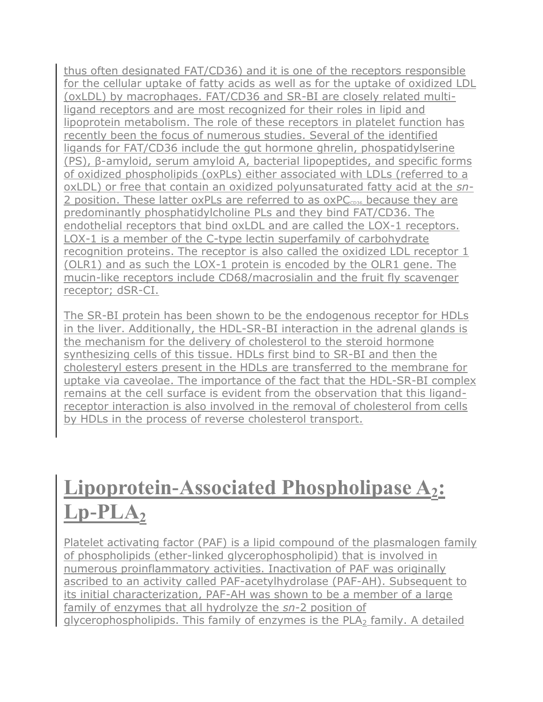thus often designated FAT/CD36) and it is one of the receptors responsible for the [cellular uptake of fatty acids](http://themedicalbiochemistrypage.org/fatty-acid-oxidation.php#uptake) as well as for the uptake of oxidized LDL (oxLDL) by macrophages. FAT/CD36 and SR-BI are closely related multiligand receptors and are most recognized for their roles in lipid and lipoprotein metabolism. The role of these receptors in platelet function has recently been the focus of numerous studies. Several of the identified ligands for FAT/CD36 include the gut hormone [ghrelin,](http://themedicalbiochemistrypage.org/gut-brain.php#ghrelin) phospatidylserine (PS), β-amyloid, serum amyloid A, bacterial lipopeptides, and specific forms of oxidized phospholipids (oxPLs) either associated with LDLs (referred to a oxLDL) or free that contain an oxidized polyunsaturated fatty acid at the *sn*-2 position. These latter oxPLs are referred to as  $oxPC<sub>cos</sub>$  because they are predominantly phosphatidylcholine PLs and they bind FAT/CD36. The endothelial receptors that bind oxLDL and are called the LOX-1 receptors. LOX-1 is a member of the [C-type lectin superfamily](http://themedicalbiochemistrypage.org/glycoproteins.php#lectins) of carbohydrate recognition proteins. The receptor is also called the oxidized LDL receptor 1 (OLR1) and as such the LOX-1 protein is encoded by the OLR1 gene. The mucin-like receptors include CD68/macrosialin and the fruit fly scavenger receptor; dSR-CI.

The SR-BI protein has been shown to be the endogenous receptor for HDLs in the liver. Additionally, the HDL-SR-BI interaction in the adrenal glands is the mechanism for the delivery of cholesterol to the [steroid hormone](http://themedicalbiochemistrypage.org/steroid-hormones.php)  [synthesizing](http://themedicalbiochemistrypage.org/steroid-hormones.php) cells of this tissue. HDLs first bind to SR-BI and then the cholesteryl esters present in the HDLs are transferred to the membrane for uptake via caveolae. The importance of the fact that the HDL-SR-BI complex remains at the cell surface is evident from the observation that this ligandreceptor interaction is also involved in the removal of cholesterol from cells by HDLs in the process of reverse cholesterol transport.

## **Lipoprotein-Associated Phospholipase A2:**   $Lp$ - $PLA_2$

[Platelet activating factor \(PAF\)](http://themedicalbiochemistrypage.org/lipid-synthesis.php#plasmalogens) is a lipid compound of the plasmalogen family of phospholipids (ether-linked glycerophospholipid) that is involved in numerous proinflammatory activities. Inactivation of PAF was originally ascribed to an activity called PAF-acetylhydrolase (PAF-AH). Subsequent to its initial characterization, PAF-AH was shown to be a member of a large family of enzymes that all hydrolyze the *sn*-2 position of glycerophospholipids. This family of enzymes is the PLA<sub>2</sub> family. A detailed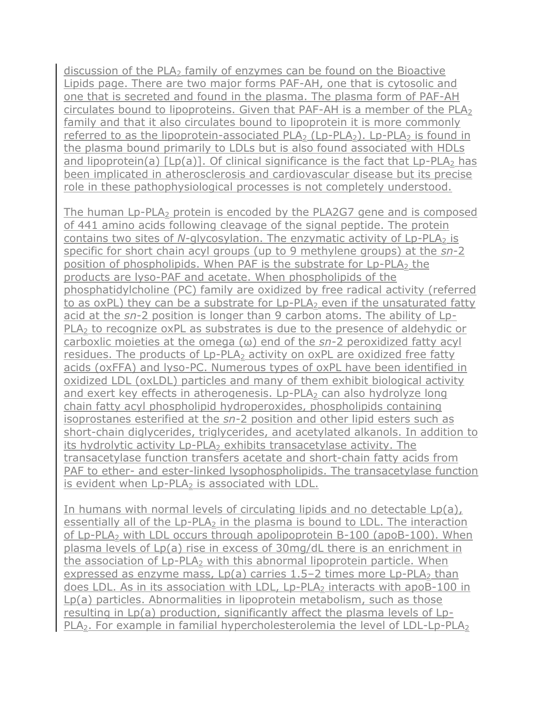discussion of the PLA $_2$  family of enzymes can be found on the Bioactive [Lipids](http://themedicalbiochemistrypage.org/bioactivelipids.php#lyso) page. There are two major forms PAF-AH, one that is cytosolic and one that is secreted and found in the plasma. The plasma form of PAF-AH circulates bound to lipoproteins. Given that PAF-AH is a member of the PLA<sub>2</sub> family and that it also circulates bound to lipoprotein it is more commonly referred to as the lipoprotein-associated  $PLA_2$  (Lp-PLA<sub>2</sub>). Lp-PLA<sub>2</sub> is found in the plasma bound primarily to LDLs but is also found associated with HDLs and lipoprotein(a)  $[Lp(a)]$ . Of clinical significance is the fact that  $Lp-PLA<sub>2</sub>$  has been implicated in atherosclerosis and cardiovascular disease but its precise role in these pathophysiological processes is not completely understood.

The human  $Lp-PLA<sub>2</sub>$  protein is encoded by the PLA2G7 gene and is composed of 441 amino acids following cleavage of the signal peptide. The protein contains two sites of *N*-glycosylation. The enzymatic activity of Lp-PLA<sub>2</sub> is specific for short chain acyl groups (up to 9 methylene groups) at the *sn*-2 position of phospholipids. When PAF is the substrate for Lp-PLA<sub>2</sub> the products are lyso-PAF and acetate. When phospholipids of the phosphatidylcholine (PC) family are oxidized by free radical activity (referred to as oxPL) they can be a substrate for Lp-PLA<sub>2</sub> even if the unsaturated fatty acid at the *sn*-2 position is longer than 9 carbon atoms. The ability of Lp-PLA<sub>2</sub> to recognize oxPL as substrates is due to the presence of aldehydic or carboxlic moieties at the omega (ω) end of the *sn*-2 peroxidized fatty acyl residues. The products of Lp-PLA<sub>2</sub> activity on oxPL are oxidized free fatty acids (oxFFA) and lyso-PC. Numerous types of oxPL have been identified in oxidized LDL (oxLDL) particles and many of them exhibit biological activity and exert key effects in atherogenesis.  $L_p$ -PLA<sub>2</sub> can also hydrolyze long chain fatty acyl phospholipid hydroperoxides, phospholipids containing isoprostanes esterified at the *sn*-2 position and other lipid esters such as short-chain diglycerides, triglycerides, and acetylated alkanols. In addition to its hydrolytic activity Lp-PLA<sub>2</sub> exhibits transacetylase activity. The transacetylase function transfers acetate and short-chain fatty acids from PAF to ether- and ester-linked lysophospholipids. The transacetylase function is evident when  $L_p-PLA_2$  is associated with LDL.

In humans with normal levels of circulating lipids and no detectable Lp(a), essentially all of the  $L_p-PLA_2$  in the plasma is bound to LDL. The interaction of Lp-PLA<sub>2</sub> with LDL occurs through apolipoprotein B-100 (apoB-100). When plasma levels of Lp(a) rise in excess of 30mg/dL there is an enrichment in the association of Lp-PLA<sub>2</sub> with this abnormal lipoprotein particle. When expressed as enzyme mass,  $Lp(a)$  carries 1.5–2 times more  $Lp-PLA<sub>2</sub>$  than does LDL. As in its association with LDL, Lp-PLA<sub>2</sub> interacts with apoB-100 in Lp(a) particles. Abnormalities in lipoprotein metabolism, such as those resulting in Lp(a) production, significantly affect the plasma levels of Lp- $PLA<sub>2</sub>$ . For example in [familial hypercholesterolemia](http://themedicalbiochemistrypage.org/fh.php) the level of LDL-Lp-PLA<sub>2</sub>